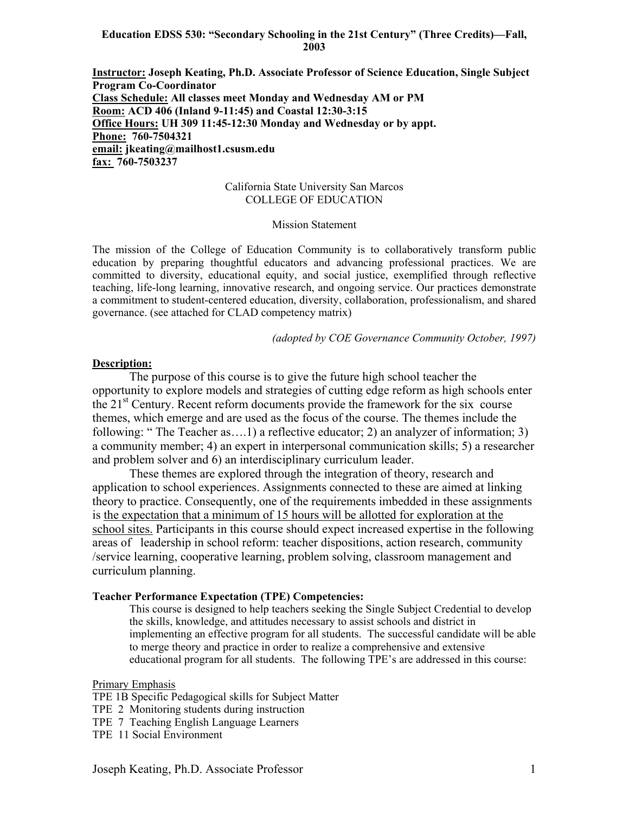#### **Education EDSS 530: "Secondary Schooling in the 21st Century" (Three Credits)—Fall, 2003**

**Instructor: Joseph Keating, Ph.D. Associate Professor of Science Education, Single Subject Program Co-Coordinator Class Schedule: All classes meet Monday and Wednesday AM or PM Room: ACD 406 (Inland 9-11:45) and Coastal 12:30-3:15 Office Hours: UH 309 11:45-12:30 Monday and Wednesday or by appt. Phone: 760-7504321 email: jkeating@mailhost1.csusm.edu fax: 760-7503237** 

#### California State University San Marcos COLLEGE OF EDUCATION

#### Mission Statement

The mission of the College of Education Community is to collaboratively transform public education by preparing thoughtful educators and advancing professional practices. We are committed to diversity, educational equity, and social justice, exemplified through reflective teaching, life-long learning, innovative research, and ongoing service. Our practices demonstrate a commitment to student-centered education, diversity, collaboration, professionalism, and shared governance. (see attached for CLAD competency matrix)

*(adopted by COE Governance Community October, 1997)*

#### **Description:**

The purpose of this course is to give the future high school teacher the opportunity to explore models and strategies of cutting edge reform as high schools enter the  $21<sup>st</sup>$  Century. Recent reform documents provide the framework for the six course themes, which emerge and are used as the focus of the course. The themes include the following: " The Teacher as….1) a reflective educator; 2) an analyzer of information; 3) a community member; 4) an expert in interpersonal communication skills; 5) a researcher and problem solver and 6) an interdisciplinary curriculum leader.

These themes are explored through the integration of theory, research and application to school experiences. Assignments connected to these are aimed at linking theory to practice. Consequently, one of the requirements imbedded in these assignments is the expectation that a minimum of 15 hours will be allotted for exploration at the school sites. Participants in this course should expect increased expertise in the following areas of leadership in school reform: teacher dispositions, action research, community /service learning, cooperative learning, problem solving, classroom management and curriculum planning.

#### **Teacher Performance Expectation (TPE) Competencies:**

This course is designed to help teachers seeking the Single Subject Credential to develop the skills, knowledge, and attitudes necessary to assist schools and district in implementing an effective program for all students. The successful candidate will be able to merge theory and practice in order to realize a comprehensive and extensive educational program for all students. The following TPE's are addressed in this course:

#### Primary Emphasis

- TPE 1B Specific Pedagogical skills for Subject Matter
- TPE 2 Monitoring students during instruction
- TPE 7 Teaching English Language Learners
- TPE 11 Social Environment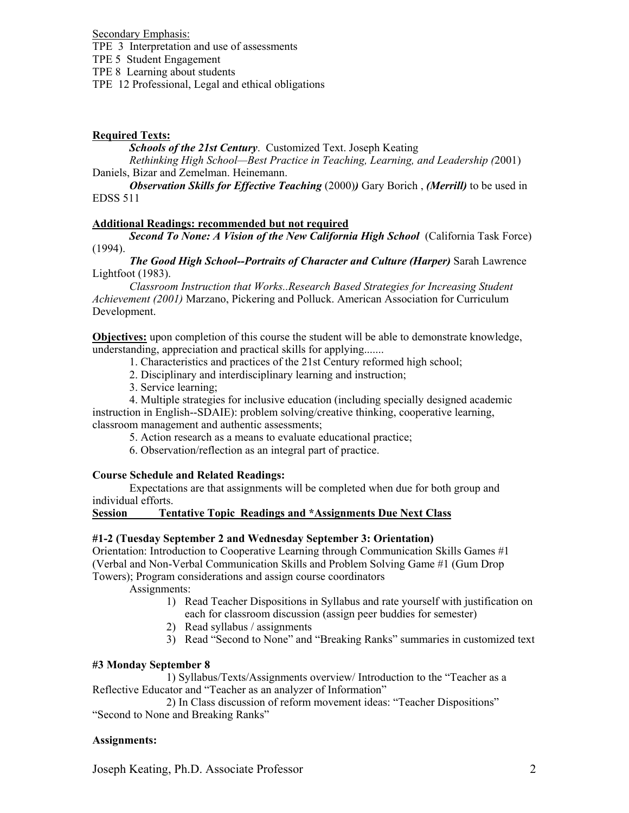Secondary Emphasis:

TPE 3 Interpretation and use of assessments

TPE 5 Student Engagement

TPE 8 Learning about students

TPE 12 Professional, Legal and ethical obligations

# **Required Texts:**

*Schools of the 21st Century*. Customized Text. Joseph Keating

*Rethinking High School—Best Practice in Teaching, Learning, and Leadership (*2001) Daniels, Bizar and Zemelman. Heinemann.

*Observation Skills for Effective Teaching* (2000)*)* Gary Borich , *(Merrill)* to be used in EDSS 511

# **Additional Readings: recommended but not required**

*Second To None: A Vision of the New California High School* (California Task Force) (1994).

*The Good High School--Portraits of Character and Culture (Harper)* Sarah Lawrence Lightfoot (1983).

*Classroom Instruction that Works..Research Based Strategies for Increasing Student Achievement (2001)* Marzano, Pickering and Polluck. American Association for Curriculum Development.

**Objectives:** upon completion of this course the student will be able to demonstrate knowledge, understanding, appreciation and practical skills for applying.......

1. Characteristics and practices of the 21st Century reformed high school;

- 2. Disciplinary and interdisciplinary learning and instruction;
- 3. Service learning;

 4. Multiple strategies for inclusive education (including specially designed academic instruction in English--SDAIE): problem solving/creative thinking, cooperative learning, classroom management and authentic assessments;

- 5. Action research as a means to evaluate educational practice;
- 6. Observation/reflection as an integral part of practice.

# **Course Schedule and Related Readings:**

Expectations are that assignments will be completed when due for both group and individual efforts.

# **Session Tentative Topic Readings and \*Assignments Due Next Class**

# **#1-2 (Tuesday September 2 and Wednesday September 3: Orientation)**

Orientation: Introduction to Cooperative Learning through Communication Skills Games #1 (Verbal and Non-Verbal Communication Skills and Problem Solving Game #1 (Gum Drop Towers); Program considerations and assign course coordinators

Assignments:

- 1) Read Teacher Dispositions in Syllabus and rate yourself with justification on each for classroom discussion (assign peer buddies for semester)
- 2) Read syllabus / assignments
- 3) Read "Second to None" and "Breaking Ranks" summaries in customized text

# **#3 Monday September 8**

 1) Syllabus/Texts/Assignments overview/ Introduction to the "Teacher as a Reflective Educator and "Teacher as an analyzer of Information"

 2) In Class discussion of reform movement ideas: "Teacher Dispositions" "Second to None and Breaking Ranks"

# **Assignments:**

Joseph Keating, Ph.D. Associate Professor 2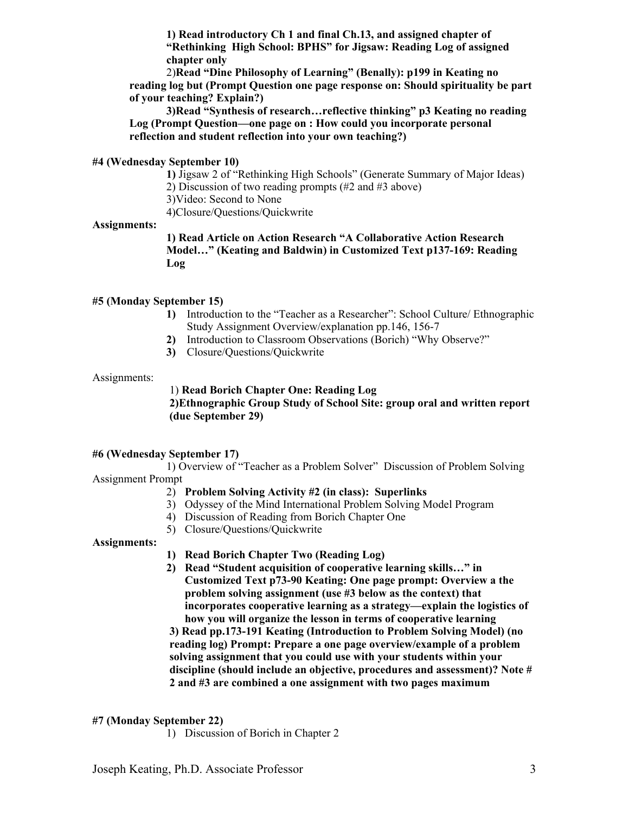**1) Read introductory Ch 1 and final Ch.13, and assigned chapter of "Rethinking High School: BPHS" for Jigsaw: Reading Log of assigned chapter only** 

2)**Read "Dine Philosophy of Learning" (Benally): p199 in Keating no reading log but (Prompt Question one page response on: Should spirituality be part of your teaching? Explain?)** 

**3)Read "Synthesis of research…reflective thinking" p3 Keating no reading Log (Prompt Question—one page on : How could you incorporate personal reflection and student reflection into your own teaching?)** 

#### **#4 (Wednesday September 10)**

 **1)** Jigsaw 2 of "Rethinking High Schools" (Generate Summary of Major Ideas) 2) Discussion of two reading prompts (#2 and #3 above)

3)Video: Second to None

4)Closure/Questions/Quickwrite

#### **Assignments:**

**1) Read Article on Action Research "A Collaborative Action Research Model…" (Keating and Baldwin) in Customized Text p137-169: Reading Log** 

#### **#5 (Monday September 15)**

- **1)** Introduction to the "Teacher as a Researcher": School Culture/ Ethnographic Study Assignment Overview/explanation pp.146, 156-7
- **2)** Introduction to Classroom Observations (Borich) "Why Observe?"
- **3)** Closure/Questions/Quickwrite

#### Assignments:

# 1) **Read Borich Chapter One: Reading Log**

**2)Ethnographic Group Study of School Site: group oral and written report (due September 29)** 

#### **#6 (Wednesday September 17)**

1) Overview of "Teacher as a Problem Solver" Discussion of Problem Solving Assignment Prompt

#### 2) **Problem Solving Activity #2 (in class): Superlinks**

- 3) Odyssey of the Mind International Problem Solving Model Program
- 4) Discussion of Reading from Borich Chapter One
- 5) Closure/Questions/Quickwrite

#### **Assignments:**

**1) Read Borich Chapter Two (Reading Log)** 

**2) Read "Student acquisition of cooperative learning skills…" in Customized Text p73-90 Keating: One page prompt: Overview a the problem solving assignment (use #3 below as the context) that incorporates cooperative learning as a strategy—explain the logistics of how you will organize the lesson in terms of cooperative learning** 

**3) Read pp.173-191 Keating (Introduction to Problem Solving Model) (no reading log) Prompt: Prepare a one page overview/example of a problem solving assignment that you could use with your students within your discipline (should include an objective, procedures and assessment)? Note # 2 and #3 are combined a one assignment with two pages maximum** 

#### **#7 (Monday September 22)**

1) Discussion of Borich in Chapter 2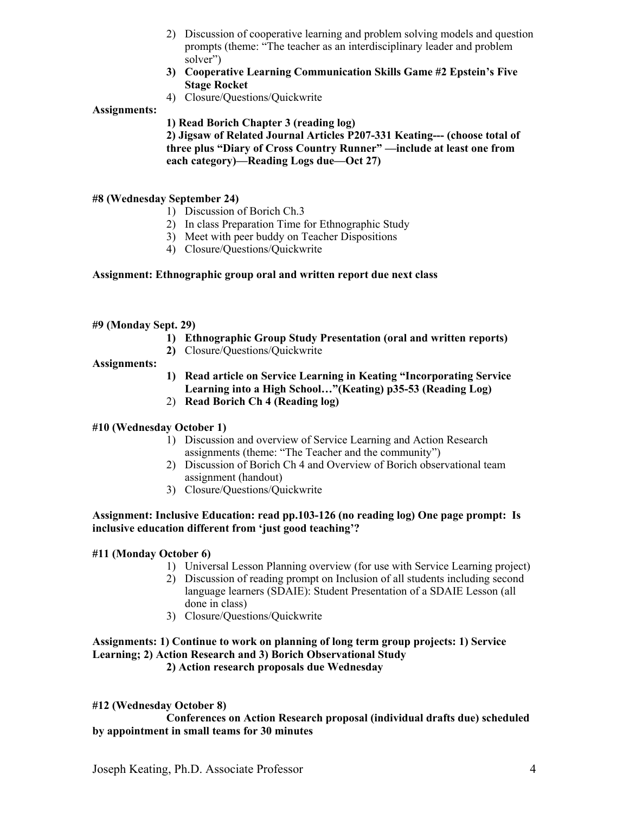- 2) Discussion of cooperative learning and problem solving models and question prompts (theme: "The teacher as an interdisciplinary leader and problem solver")
- **3) Cooperative Learning Communication Skills Game #2 Epstein's Five Stage Rocket**
- 4) Closure/Questions/Quickwrite

# **Assignments:**

**1) Read Borich Chapter 3 (reading log)** 

**2) Jigsaw of Related Journal Articles P207-331 Keating--- (choose total of three plus "Diary of Cross Country Runner" —include at least one from each category)—Reading Logs due—Oct 27)** 

# **#8 (Wednesday September 24)**

- 1) Discussion of Borich Ch.3
- 2) In class Preparation Time for Ethnographic Study
- 3) Meet with peer buddy on Teacher Dispositions
- 4) Closure/Questions/Quickwrite

# **Assignment: Ethnographic group oral and written report due next class**

# **#9 (Monday Sept. 29)**

- **1) Ethnographic Group Study Presentation (oral and written reports)**
- **2)** Closure/Questions/Quickwrite

#### **Assignments:**

- **1) Read article on Service Learning in Keating "Incorporating Service Learning into a High School…"(Keating) p35-53 (Reading Log)**
- 2) **Read Borich Ch 4 (Reading log)**

# **#10 (Wednesday October 1)**

- 1) Discussion and overview of Service Learning and Action Research assignments (theme: "The Teacher and the community")
- 2) Discussion of Borich Ch 4 and Overview of Borich observational team assignment (handout)
- 3) Closure/Questions/Quickwrite

# **Assignment: Inclusive Education: read pp.103-126 (no reading log) One page prompt: Is inclusive education different from 'just good teaching'?**

# **#11 (Monday October 6)**

- 1) Universal Lesson Planning overview (for use with Service Learning project)
- 2) Discussion of reading prompt on Inclusion of all students including second language learners (SDAIE): Student Presentation of a SDAIE Lesson (all done in class)
- 3) Closure/Questions/Quickwrite

# **Assignments: 1) Continue to work on planning of long term group projects: 1) Service Learning; 2) Action Research and 3) Borich Observational Study**

 **2) Action research proposals due Wednesday** 

# **#12 (Wednesday October 8)**

 **Conferences on Action Research proposal (individual drafts due) scheduled by appointment in small teams for 30 minutes**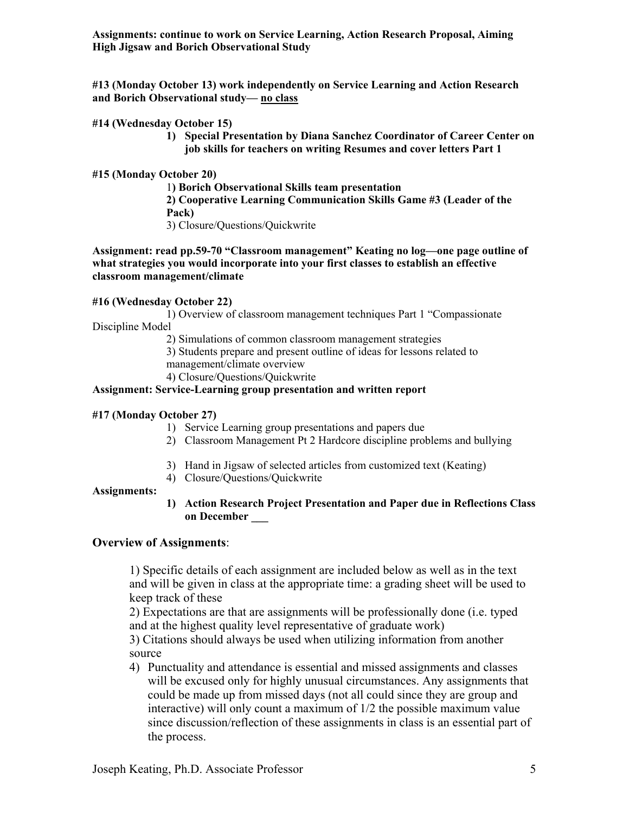**Assignments: continue to work on Service Learning, Action Research Proposal, Aiming High Jigsaw and Borich Observational Study** 

**#13 (Monday October 13) work independently on Service Learning and Action Research and Borich Observational study— no class**

# **#14 (Wednesday October 15)**

**1) Special Presentation by Diana Sanchez Coordinator of Career Center on job skills for teachers on writing Resumes and cover letters Part 1** 

#### **#15 (Monday October 20)**

1**) Borich Observational Skills team presentation 2) Cooperative Learning Communication Skills Game #3 (Leader of the Pack)**  3) Closure/Questions/Quickwrite

**Assignment: read pp.59-70 "Classroom management" Keating no log—one page outline of what strategies you would incorporate into your first classes to establish an effective classroom management/climate** 

#### **#16 (Wednesday October 22)**

1) Overview of classroom management techniques Part 1 "Compassionate Discipline Model

2) Simulations of common classroom management strategies

3) Students prepare and present outline of ideas for lessons related to management/climate overview

4) Closure/Questions/Quickwrite

# **Assignment: Service-Learning group presentation and written report**

#### **#17 (Monday October 27)**

- 1) Service Learning group presentations and papers due
- 2) Classroom Management Pt 2 Hardcore discipline problems and bullying
- 3) Hand in Jigsaw of selected articles from customized text (Keating)
- 4) Closure/Questions/Quickwrite

# **Assignments:**

**1) Action Research Project Presentation and Paper due in Reflections Class on December \_\_\_** 

# **Overview of Assignments**:

1) Specific details of each assignment are included below as well as in the text and will be given in class at the appropriate time: a grading sheet will be used to keep track of these

2) Expectations are that are assignments will be professionally done (i.e. typed and at the highest quality level representative of graduate work)

3) Citations should always be used when utilizing information from another source

4) Punctuality and attendance is essential and missed assignments and classes will be excused only for highly unusual circumstances. Any assignments that could be made up from missed days (not all could since they are group and interactive) will only count a maximum of 1/2 the possible maximum value since discussion/reflection of these assignments in class is an essential part of the process.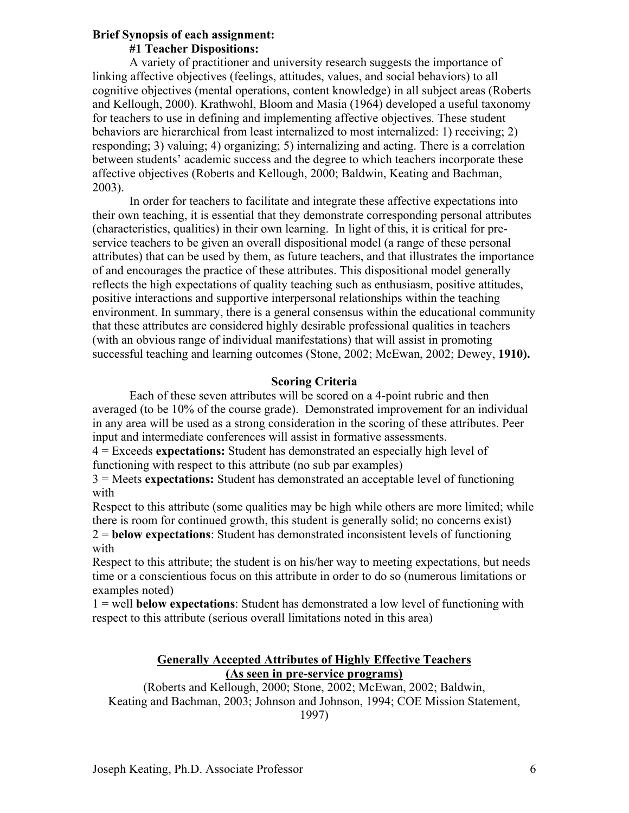# **Brief Synopsis of each assignment:**

# **#1 Teacher Dispositions:**

A variety of practitioner and university research suggests the importance of linking affective objectives (feelings, attitudes, values, and social behaviors) to all cognitive objectives (mental operations, content knowledge) in all subject areas (Roberts and Kellough, 2000). Krathwohl, Bloom and Masia (1964) developed a useful taxonomy for teachers to use in defining and implementing affective objectives. These student behaviors are hierarchical from least internalized to most internalized: 1) receiving; 2) responding; 3) valuing; 4) organizing; 5) internalizing and acting. There is a correlation between students' academic success and the degree to which teachers incorporate these affective objectives (Roberts and Kellough, 2000; Baldwin, Keating and Bachman, 2003).

In order for teachers to facilitate and integrate these affective expectations into their own teaching, it is essential that they demonstrate corresponding personal attributes (characteristics, qualities) in their own learning. In light of this, it is critical for preservice teachers to be given an overall dispositional model (a range of these personal attributes) that can be used by them, as future teachers, and that illustrates the importance of and encourages the practice of these attributes. This dispositional model generally reflects the high expectations of quality teaching such as enthusiasm, positive attitudes, positive interactions and supportive interpersonal relationships within the teaching environment. In summary, there is a general consensus within the educational community that these attributes are considered highly desirable professional qualities in teachers (with an obvious range of individual manifestations) that will assist in promoting successful teaching and learning outcomes (Stone, 2002; McEwan, 2002; Dewey, **1910).** 

# **Scoring Criteria**

Each of these seven attributes will be scored on a 4-point rubric and then averaged (to be 10% of the course grade). Demonstrated improvement for an individual in any area will be used as a strong consideration in the scoring of these attributes. Peer input and intermediate conferences will assist in formative assessments.

4 = Exceeds **expectations:** Student has demonstrated an especially high level of functioning with respect to this attribute (no sub par examples)

3 = Meets **expectations:** Student has demonstrated an acceptable level of functioning with

Respect to this attribute (some qualities may be high while others are more limited; while there is room for continued growth, this student is generally solid; no concerns exist)

2 = **below expectations**: Student has demonstrated inconsistent levels of functioning with

Respect to this attribute; the student is on his/her way to meeting expectations, but needs time or a conscientious focus on this attribute in order to do so (numerous limitations or examples noted)

1 = well **below expectations**: Student has demonstrated a low level of functioning with respect to this attribute (serious overall limitations noted in this area)

# **Generally Accepted Attributes of Highly Effective Teachers (As seen in pre-service programs)**

(Roberts and Kellough, 2000; Stone, 2002; McEwan, 2002; Baldwin, Keating and Bachman, 2003; Johnson and Johnson, 1994; COE Mission Statement, 1997)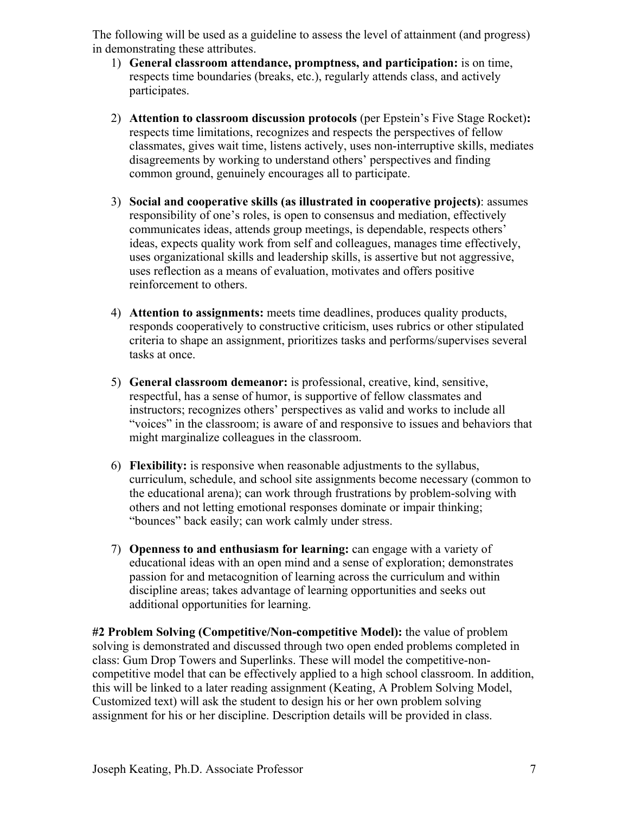The following will be used as a guideline to assess the level of attainment (and progress) in demonstrating these attributes.

- 1) **General classroom attendance, promptness, and participation:** is on time, respects time boundaries (breaks, etc.), regularly attends class, and actively participates.
- 2) **Attention to classroom discussion protocols** (per Epstein's Five Stage Rocket)**:** respects time limitations, recognizes and respects the perspectives of fellow classmates, gives wait time, listens actively, uses non-interruptive skills, mediates disagreements by working to understand others' perspectives and finding common ground, genuinely encourages all to participate.
- 3) **Social and cooperative skills (as illustrated in cooperative projects)**: assumes responsibility of one's roles, is open to consensus and mediation, effectively communicates ideas, attends group meetings, is dependable, respects others' ideas, expects quality work from self and colleagues, manages time effectively, uses organizational skills and leadership skills, is assertive but not aggressive, uses reflection as a means of evaluation, motivates and offers positive reinforcement to others.
- 4) **Attention to assignments:** meets time deadlines, produces quality products, responds cooperatively to constructive criticism, uses rubrics or other stipulated criteria to shape an assignment, prioritizes tasks and performs/supervises several tasks at once.
- 5) **General classroom demeanor:** is professional, creative, kind, sensitive, respectful, has a sense of humor, is supportive of fellow classmates and instructors; recognizes others' perspectives as valid and works to include all "voices" in the classroom; is aware of and responsive to issues and behaviors that might marginalize colleagues in the classroom.
- 6) **Flexibility:** is responsive when reasonable adjustments to the syllabus, curriculum, schedule, and school site assignments become necessary (common to the educational arena); can work through frustrations by problem-solving with others and not letting emotional responses dominate or impair thinking; "bounces" back easily; can work calmly under stress.
- 7) **Openness to and enthusiasm for learning:** can engage with a variety of educational ideas with an open mind and a sense of exploration; demonstrates passion for and metacognition of learning across the curriculum and within discipline areas; takes advantage of learning opportunities and seeks out additional opportunities for learning.

**#2 Problem Solving (Competitive/Non-competitive Model):** the value of problem solving is demonstrated and discussed through two open ended problems completed in class: Gum Drop Towers and Superlinks. These will model the competitive-noncompetitive model that can be effectively applied to a high school classroom. In addition, this will be linked to a later reading assignment (Keating, A Problem Solving Model, Customized text) will ask the student to design his or her own problem solving assignment for his or her discipline. Description details will be provided in class.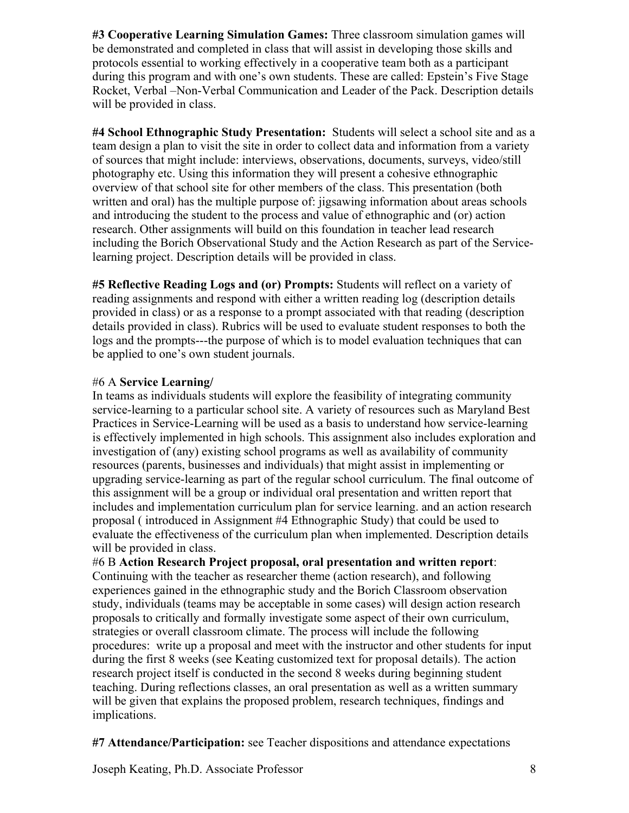**#3 Cooperative Learning Simulation Games:** Three classroom simulation games will be demonstrated and completed in class that will assist in developing those skills and protocols essential to working effectively in a cooperative team both as a participant during this program and with one's own students. These are called: Epstein's Five Stage Rocket, Verbal –Non-Verbal Communication and Leader of the Pack. Description details will be provided in class.

**#4 School Ethnographic Study Presentation:** Students will select a school site and as a team design a plan to visit the site in order to collect data and information from a variety of sources that might include: interviews, observations, documents, surveys, video/still photography etc. Using this information they will present a cohesive ethnographic overview of that school site for other members of the class. This presentation (both written and oral) has the multiple purpose of: jigsawing information about areas schools and introducing the student to the process and value of ethnographic and (or) action research. Other assignments will build on this foundation in teacher lead research including the Borich Observational Study and the Action Research as part of the Servicelearning project. Description details will be provided in class.

**#5 Reflective Reading Logs and (or) Prompts:** Students will reflect on a variety of reading assignments and respond with either a written reading log (description details provided in class) or as a response to a prompt associated with that reading (description details provided in class). Rubrics will be used to evaluate student responses to both the logs and the prompts---the purpose of which is to model evaluation techniques that can be applied to one's own student journals.

# #6 A **Service Learning/**

In teams as individuals students will explore the feasibility of integrating community service-learning to a particular school site. A variety of resources such as Maryland Best Practices in Service-Learning will be used as a basis to understand how service-learning is effectively implemented in high schools. This assignment also includes exploration and investigation of (any) existing school programs as well as availability of community resources (parents, businesses and individuals) that might assist in implementing or upgrading service-learning as part of the regular school curriculum. The final outcome of this assignment will be a group or individual oral presentation and written report that includes and implementation curriculum plan for service learning. and an action research proposal ( introduced in Assignment #4 Ethnographic Study) that could be used to evaluate the effectiveness of the curriculum plan when implemented. Description details will be provided in class.

#6 B **Action Research Project proposal, oral presentation and written report**: Continuing with the teacher as researcher theme (action research), and following experiences gained in the ethnographic study and the Borich Classroom observation study, individuals (teams may be acceptable in some cases) will design action research proposals to critically and formally investigate some aspect of their own curriculum, strategies or overall classroom climate. The process will include the following procedures: write up a proposal and meet with the instructor and other students for input during the first 8 weeks (see Keating customized text for proposal details). The action research project itself is conducted in the second 8 weeks during beginning student teaching. During reflections classes, an oral presentation as well as a written summary will be given that explains the proposed problem, research techniques, findings and implications.

**#7 Attendance/Participation:** see Teacher dispositions and attendance expectations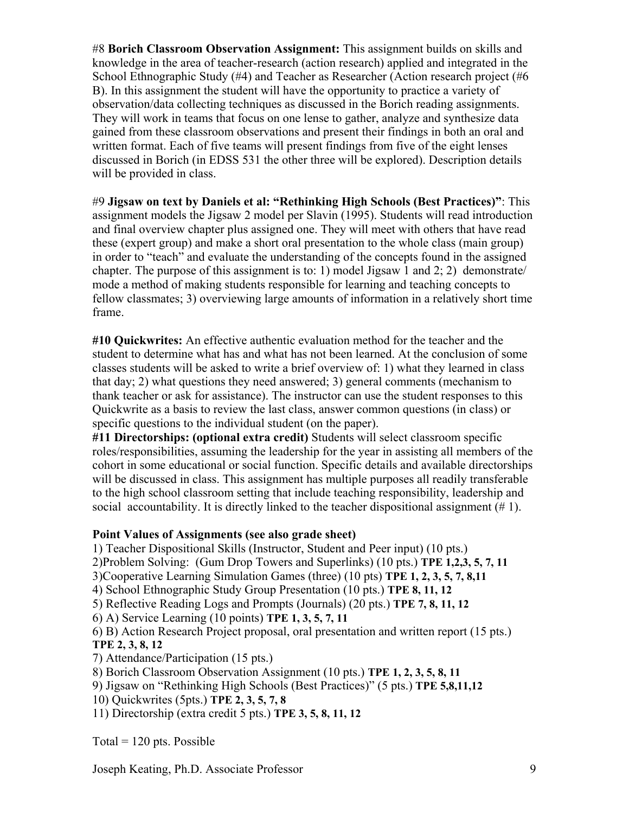#8 **Borich Classroom Observation Assignment:** This assignment builds on skills and knowledge in the area of teacher-research (action research) applied and integrated in the School Ethnographic Study (#4) and Teacher as Researcher (Action research project (#6 B). In this assignment the student will have the opportunity to practice a variety of observation/data collecting techniques as discussed in the Borich reading assignments. They will work in teams that focus on one lense to gather, analyze and synthesize data gained from these classroom observations and present their findings in both an oral and written format. Each of five teams will present findings from five of the eight lenses discussed in Borich (in EDSS 531 the other three will be explored). Description details will be provided in class.

#9 **Jigsaw on text by Daniels et al: "Rethinking High Schools (Best Practices)"**: This assignment models the Jigsaw 2 model per Slavin (1995). Students will read introduction and final overview chapter plus assigned one. They will meet with others that have read these (expert group) and make a short oral presentation to the whole class (main group) in order to "teach" and evaluate the understanding of the concepts found in the assigned chapter. The purpose of this assignment is to: 1) model Jigsaw 1 and 2; 2) demonstrate/ mode a method of making students responsible for learning and teaching concepts to fellow classmates; 3) overviewing large amounts of information in a relatively short time frame.

**#10 Quickwrites:** An effective authentic evaluation method for the teacher and the student to determine what has and what has not been learned. At the conclusion of some classes students will be asked to write a brief overview of: 1) what they learned in class that day; 2) what questions they need answered; 3) general comments (mechanism to thank teacher or ask for assistance). The instructor can use the student responses to this Quickwrite as a basis to review the last class, answer common questions (in class) or specific questions to the individual student (on the paper).

**#11 Directorships: (optional extra credit)** Students will select classroom specific roles/responsibilities, assuming the leadership for the year in assisting all members of the cohort in some educational or social function. Specific details and available directorships will be discussed in class. This assignment has multiple purposes all readily transferable to the high school classroom setting that include teaching responsibility, leadership and social accountability. It is directly linked to the teacher dispositional assignment (# 1).

# **Point Values of Assignments (see also grade sheet)**

1) Teacher Dispositional Skills (Instructor, Student and Peer input) (10 pts.)

2)Problem Solving: (Gum Drop Towers and Superlinks) (10 pts.) **TPE 1,2,3, 5, 7, 11**

3)Cooperative Learning Simulation Games (three) (10 pts) **TPE 1, 2, 3, 5, 7, 8,11**

4) School Ethnographic Study Group Presentation (10 pts.) **TPE 8, 11, 12**

5) Reflective Reading Logs and Prompts (Journals) (20 pts.) **TPE 7, 8, 11, 12**

6) A) Service Learning (10 points) **TPE 1, 3, 5, 7, 11**

6) B) Action Research Project proposal, oral presentation and written report (15 pts.) **TPE 2, 3, 8, 12**

7) Attendance/Participation (15 pts.)

8) Borich Classroom Observation Assignment (10 pts.) **TPE 1, 2, 3, 5, 8, 11**

9) Jigsaw on "Rethinking High Schools (Best Practices)" (5 pts.) **TPE 5,8,11,12**

10) Quickwrites (5pts.) **TPE 2, 3, 5, 7, 8**

11) Directorship (extra credit 5 pts.) **TPE 3, 5, 8, 11, 12** 

Total  $= 120$  pts. Possible

Joseph Keating, Ph.D. Associate Professor 9